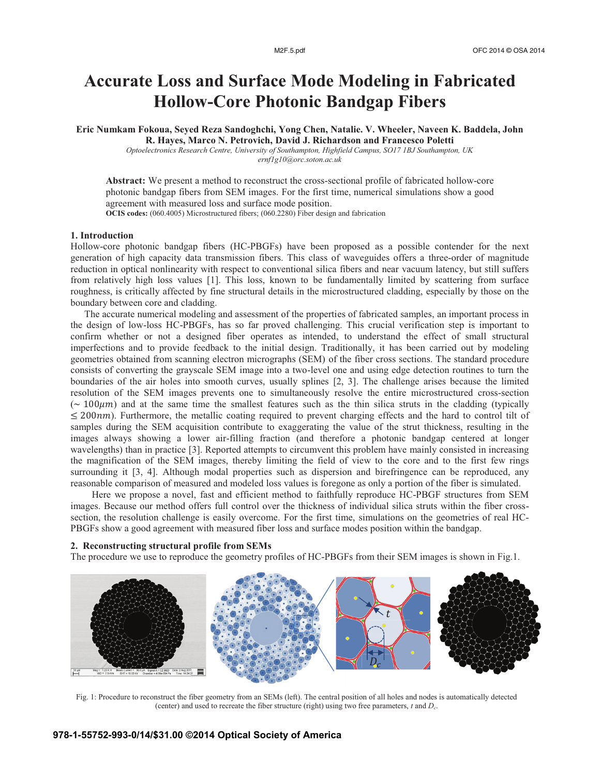# **Accurate Loss and Surface Mode Modeling in Fabricated Hollow-Core Photonic Bandgap Fibers**

**Eric Numkam Fokoua, Seyed Reza Sandoghchi, Yong Chen, Natalie. V. Wheeler, Naveen K. Baddela, John R. Hayes, Marco N. Petrovich, David J. Richardson and Francesco Poletti** 

*Optoelectronics Research Centre, University of Southampton, Highfield Campus, SO17 1BJ Southampton, UK ernf1g10@orc.soton.ac.uk* 

**Abstract:** We present a method to reconstruct the cross-sectional profile of fabricated hollow-core photonic bandgap fibers from SEM images. For the first time, numerical simulations show a good agreement with measured loss and surface mode position. **OCIS codes:** (060.4005) Microstructured fibers; (060.2280) Fiber design and fabrication

#### **1. Introduction**

Hollow-core photonic bandgap fibers (HC-PBGFs) have been proposed as a possible contender for the next generation of high capacity data transmission fibers. This class of waveguides offers a three-order of magnitude reduction in optical nonlinearity with respect to conventional silica fibers and near vacuum latency, but still suffers from relatively high loss values [1]. This loss, known to be fundamentally limited by scattering from surface roughness, is critically affected by fine structural details in the microstructured cladding, especially by those on the boundary between core and cladding.

The accurate numerical modeling and assessment of the properties of fabricated samples, an important process in the design of low-loss HC-PBGFs, has so far proved challenging. This crucial verification step is important to confirm whether or not a designed fiber operates as intended, to understand the effect of small structural imperfections and to provide feedback to the initial design. Traditionally, it has been carried out by modeling geometries obtained from scanning electron micrographs (SEM) of the fiber cross sections. The standard procedure consists of converting the grayscale SEM image into a two-level one and using edge detection routines to turn the boundaries of the air holes into smooth curves, usually splines [2, 3]. The challenge arises because the limited resolution of the SEM images prevents one to simultaneously resolve the entire microstructured cross-section ( $\sim 100 \mu m$ ) and at the same time the smallest features such as the thin silica struts in the cladding (typically  $\leq$  200nm). Furthermore, the metallic coating required to prevent charging effects and the hard to control tilt of samples during the SEM acquisition contribute to exaggerating the value of the strut thickness, resulting in the images always showing a lower air-filling fraction (and therefore a photonic bandgap centered at longer wavelengths) than in practice [3]. Reported attempts to circumvent this problem have mainly consisted in increasing the magnification of the SEM images, thereby limiting the field of view to the core and to the first few rings surrounding it [3, 4]. Although modal properties such as dispersion and birefringence can be reproduced, any reasonable comparison of measured and modeled loss values is foregone as only a portion of the fiber is simulated.

 Here we propose a novel, fast and efficient method to faithfully reproduce HC-PBGF structures from SEM images. Because our method offers full control over the thickness of individual silica struts within the fiber crosssection, the resolution challenge is easily overcome. For the first time, simulations on the geometries of real HC-PBGFs show a good agreement with measured fiber loss and surface modes position within the bandgap.

#### **2. Reconstructing structural profile from SEMs**

The procedure we use to reproduce the geometry profiles of HC-PBGFs from their SEM images is shown in Fig.1.



Fig. 1: Procedure to reconstruct the fiber geometry from an SEMs (left). The central position of all holes and nodes is automatically detected (center) and used to recreate the fiber structure (right) using two free parameters, *t* and *Dc*.

## **978-1-55752-993-0/14/\$31.00 ©2014 Optical Society of America**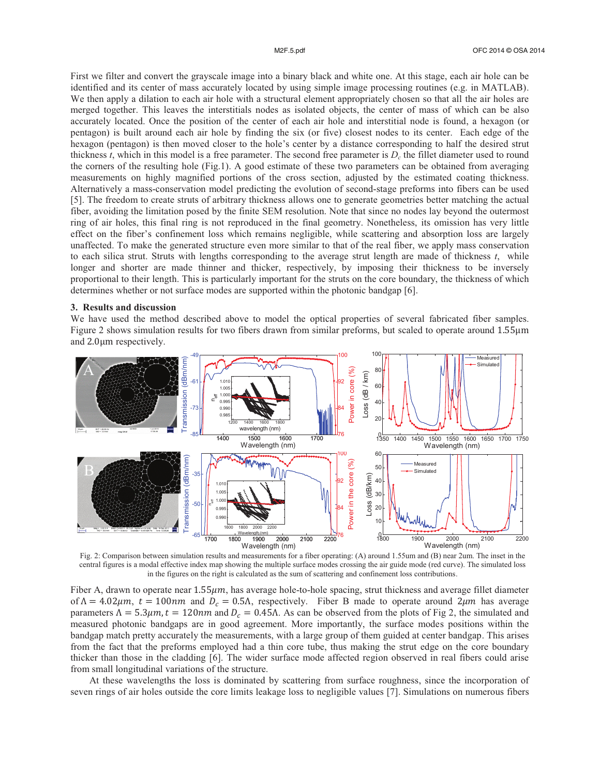First we filter and convert the grayscale image into a binary black and white one. At this stage, each air hole can be identified and its center of mass accurately located by using simple image processing routines (e.g. in MATLAB). We then apply a dilation to each air hole with a structural element appropriately chosen so that all the air holes are merged together. This leaves the interstitials nodes as isolated objects, the center of mass of which can be also accurately located. Once the position of the center of each air hole and interstitial node is found, a hexagon (or pentagon) is built around each air hole by finding the six (or five) closest nodes to its center. Each edge of the hexagon (pentagon) is then moved closer to the hole's center by a distance corresponding to half the desired strut thickness *t*, which in this model is a free parameter. The second free parameter is  $D<sub>c</sub>$  the fillet diameter used to round the corners of the resulting hole (Fig.1). A good estimate of these two parameters can be obtained from averaging measurements on highly magnified portions of the cross section, adjusted by the estimated coating thickness. Alternatively a mass-conservation model predicting the evolution of second-stage preforms into fibers can be used [5]. The freedom to create struts of arbitrary thickness allows one to generate geometries better matching the actual fiber, avoiding the limitation posed by the finite SEM resolution. Note that since no nodes lay beyond the outermost ring of air holes, this final ring is not reproduced in the final geometry. Nonetheless, its omission has very little effect on the fiber's confinement loss which remains negligible, while scattering and absorption loss are largely unaffected. To make the generated structure even more similar to that of the real fiber, we apply mass conservation to each silica strut. Struts with lengths corresponding to the average strut length are made of thickness *t*, while longer and shorter are made thinner and thicker, respectively, by imposing their thickness to be inversely proportional to their length. This is particularly important for the struts on the core boundary, the thickness of which determines whether or not surface modes are supported within the photonic bandgap [6].

### **3. Results and discussion**

We have used the method described above to model the optical properties of several fabricated fiber samples. Figure 2 shows simulation results for two fibers drawn from similar preforms, but scaled to operate around 1.55μm and 2.0μm respectively.



Fig. 2: Comparison between simulation results and measurements for a fiber operating: (A) around 1.55um and (B) near 2um. The inset in the central figures is a modal effective index map showing the multiple surface modes crossing the air guide mode (red curve). The simulated loss in the figures on the right is calculated as the sum of scattering and confinement loss contributions.

Fiber A, drawn to operate near 1.55 $\mu$ m, has average hole-to-hole spacing, strut thickness and average fillet diameter of  $\Lambda = 4.02 \mu m$ ,  $t = 100 \text{nm}$  and  $D_c = 0.5 \Lambda$ , respectively. Fiber B made to operate around  $2 \mu m$  has average parameters  $\Lambda = 5.3 \mu m$ ,  $t = 120 \text{nm}$  and  $D_c = 0.45 \Lambda$ . As can be observed from the plots of Fig 2, the simulated and measured photonic bandgaps are in good agreement. More importantly, the surface modes positions within the bandgap match pretty accurately the measurements, with a large group of them guided at center bandgap. This arises from the fact that the preforms employed had a thin core tube, thus making the strut edge on the core boundary thicker than those in the cladding [6]. The wider surface mode affected region observed in real fibers could arise from small longitudinal variations of the structure.

 At these wavelengths the loss is dominated by scattering from surface roughness, since the incorporation of seven rings of air holes outside the core limits leakage loss to negligible values [7]. Simulations on numerous fibers